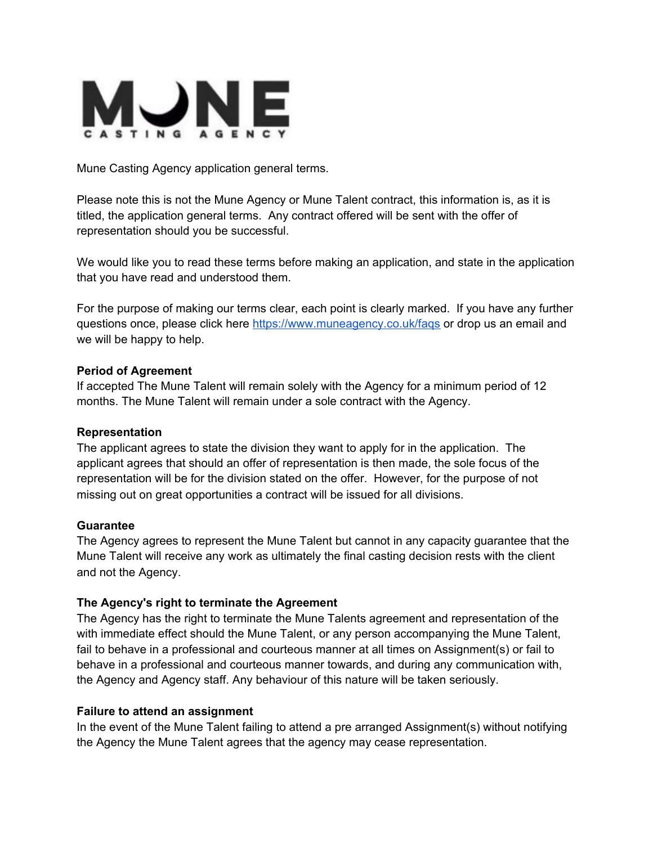

Mune Casting Agency application general terms.

Please note this is not the Mune Agency or Mune Talent contract, this information is, as it is titled, the application general terms. Any contract offered will be sent with the offer of representation should you be successful.

We would like you to read these terms before making an application, and state in the application that you have read and understood them.

For the purpose of making our terms clear, each point is clearly marked. If you have any further questions once, please click here <https://www.muneagency.co.uk/faqs> or drop us an email and we will be happy to help.

### **Period of Agreement**

If accepted The Mune Talent will remain solely with the Agency for a minimum period of 12 months. The Mune Talent will remain under a sole contract with the Agency.

### **Representation**

The applicant agrees to state the division they want to apply for in the application. The applicant agrees that should an offer of representation is then made, the sole focus of the representation will be for the division stated on the offer. However, for the purpose of not missing out on great opportunities a contract will be issued for all divisions.

### **Guarantee**

The Agency agrees to represent the Mune Talent but cannot in any capacity guarantee that the Mune Talent will receive any work as ultimately the final casting decision rests with the client and not the Agency.

## **The Agency's right to terminate the Agreement**

The Agency has the right to terminate the Mune Talents agreement and representation of the with immediate effect should the Mune Talent, or any person accompanying the Mune Talent, fail to behave in a professional and courteous manner at all times on Assignment(s) or fail to behave in a professional and courteous manner towards, and during any communication with, the Agency and Agency staff. Any behaviour of this nature will be taken seriously.

### **Failure to attend an assignment**

In the event of the Mune Talent failing to attend a pre arranged Assignment(s) without notifying the Agency the Mune Talent agrees that the agency may cease representation.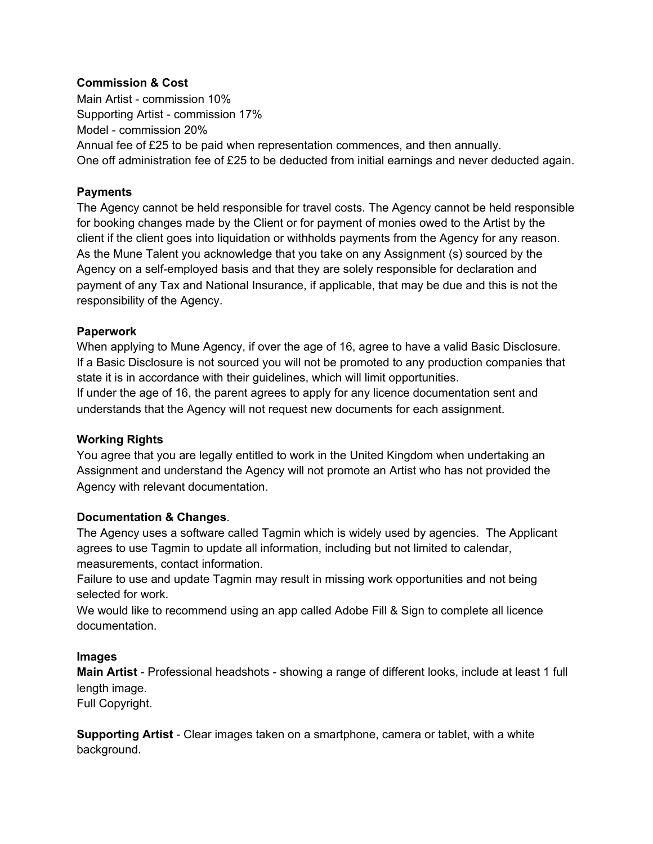### **Commission & Cost**

Main Artist - commission 10% Supporting Artist - commission 17% Model - commission 20% Annual fee of £25 to be paid when representation commences, and then annually. One off administration fee of £25 to be deducted from initial earnings and never deducted again.

### **Payments**

The Agency cannot be held responsible for travel costs. The Agency cannot be held responsible for booking changes made by the Client or for payment of monies owed to the Artist by the client if the client goes into liquidation or withholds payments from the Agency for any reason. As the Mune Talent you acknowledge that you take on any Assignment (s) sourced by the Agency on a self-employed basis and that they are solely responsible for declaration and payment of any Tax and National Insurance, if applicable, that may be due and this is not the responsibility of the Agency.

### **Paperwork**

When applying to Mune Agency, if over the age of 16, agree to have a valid Basic Disclosure. If a Basic Disclosure is not sourced you will not be promoted to any production companies that state it is in accordance with their guidelines, which will limit opportunities.

If under the age of 16, the parent agrees to apply for any licence documentation sent and understands that the Agency will not request new documents for each assignment.

## **Working Rights**

You agree that you are legally entitled to work in the United Kingdom when undertaking an Assignment and understand the Agency will not promote an Artist who has not provided the Agency with relevant documentation.

### **Documentation & Changes**.

The Agency uses a software called Tagmin which is widely used by agencies. The Applicant agrees to use Tagmin to update all information, including but not limited to calendar, measurements, contact information.

Failure to use and update Tagmin may result in missing work opportunities and not being selected for work.

We would like to recommend using an app called Adobe Fill & Sign to complete all licence documentation.

### **Images**

**Main Artist** - Professional headshots - showing a range of different looks, include at least 1 full length image.

Full Copyright.

**Supporting Artist** - Clear images taken on a smartphone, camera or tablet, with a white background.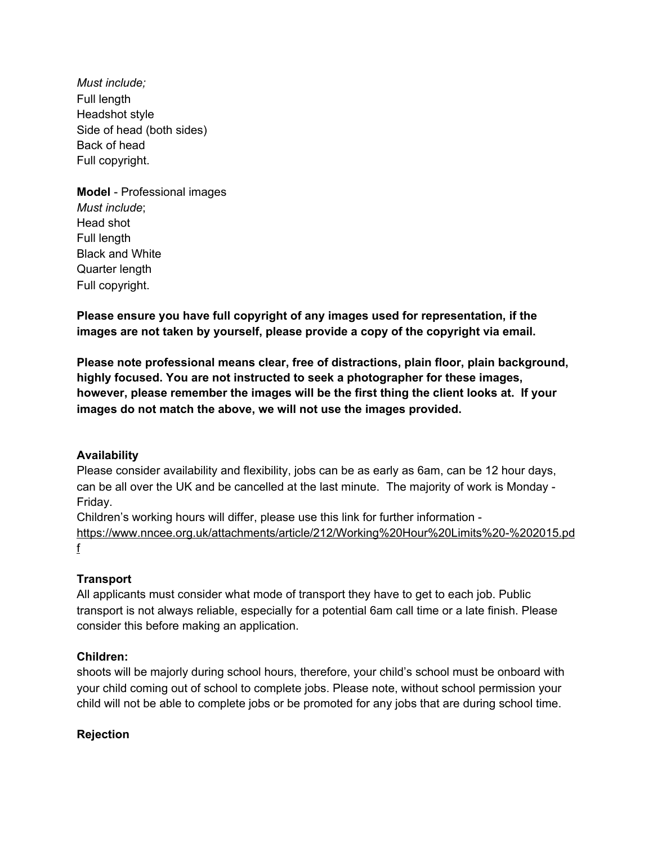*Must include;* Full length Headshot style Side of head (both sides) Back of head Full copyright.

**Model** - Professional images *Must include*; Head shot Full length Black and White Quarter length Full copyright.

**Please ensure you have full copyright of any images used for representation, if the images are not taken by yourself, please provide a copy of the copyright via email.**

**Please note professional means clear, free of distractions, plain floor, plain background, highly focused. You are not instructed to seek a photographer for these images, however, please remember the images will be the first thing the client looks at. If your images do not match the above, we will not use the images provided.**

## **Availability**

Please consider availability and flexibility, jobs can be as early as 6am, can be 12 hour days, can be all over the UK and be cancelled at the last minute. The majority of work is Monday - Friday.

Children's working hours will differ, please use this link for further information -

[https://www.nncee.org.uk/attachments/article/212/Working%20Hour%20Limits%20-%202015.pd](https://www.nncee.org.uk/attachments/article/212/Working%20Hour%20Limits%20-%202015.pdf) [f](https://www.nncee.org.uk/attachments/article/212/Working%20Hour%20Limits%20-%202015.pdf)

### **Transport**

All applicants must consider what mode of transport they have to get to each job. Public transport is not always reliable, especially for a potential 6am call time or a late finish. Please consider this before making an application.

### **Children:**

shoots will be majorly during school hours, therefore, your child's school must be onboard with your child coming out of school to complete jobs. Please note, without school permission your child will not be able to complete jobs or be promoted for any jobs that are during school time.

### **Rejection**